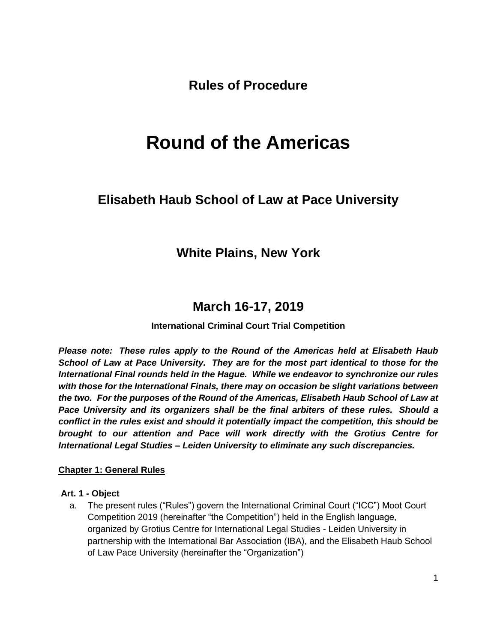**Rules of Procedure**

# **Round of the Americas**

# **Elisabeth Haub School of Law at Pace University**

# **White Plains, New York**

# **March 16-17, 2019**

# **International Criminal Court Trial Competition**

*Please note: These rules apply to the Round of the Americas held at Elisabeth Haub School of Law at Pace University. They are for the most part identical to those for the International Final rounds held in the Hague. While we endeavor to synchronize our rules with those for the International Finals, there may on occasion be slight variations between the two. For the purposes of the Round of the Americas, Elisabeth Haub School of Law at Pace University and its organizers shall be the final arbiters of these rules. Should a conflict in the rules exist and should it potentially impact the competition, this should be brought to our attention and Pace will work directly with the Grotius Centre for International Legal Studies – Leiden University to eliminate any such discrepancies.* 

#### **Chapter 1: General Rules**

#### **Art. 1 - Object**

a. The present rules ("Rules") govern the International Criminal Court ("ICC") Moot Court Competition 2019 (hereinafter "the Competition") held in the English language, organized by Grotius Centre for International Legal Studies - Leiden University in partnership with the International Bar Association (IBA), and the Elisabeth Haub School of Law Pace University (hereinafter the "Organization")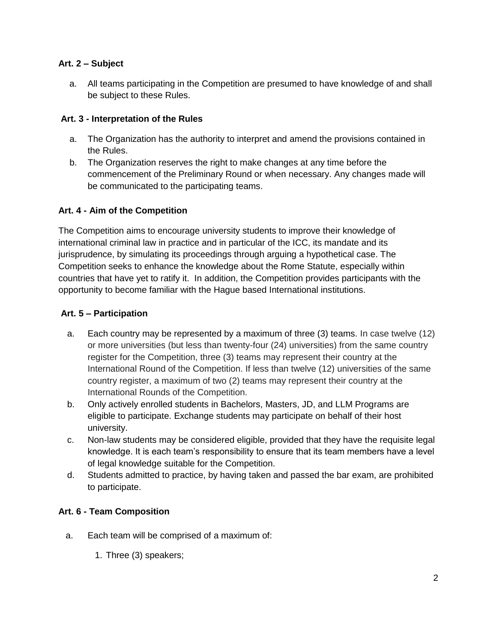# **Art. 2 – Subject**

a. All teams participating in the Competition are presumed to have knowledge of and shall be subject to these Rules.

# **Art. 3 - Interpretation of the Rules**

- a. The Organization has the authority to interpret and amend the provisions contained in the Rules.
- b. The Organization reserves the right to make changes at any time before the commencement of the Preliminary Round or when necessary. Any changes made will be communicated to the participating teams.

# **Art. 4 - Aim of the Competition**

The Competition aims to encourage university students to improve their knowledge of international criminal law in practice and in particular of the ICC, its mandate and its jurisprudence, by simulating its proceedings through arguing a hypothetical case. The Competition seeks to enhance the knowledge about the Rome Statute, especially within countries that have yet to ratify it. In addition, the Competition provides participants with the opportunity to become familiar with the Hague based International institutions.

#### **Art. 5 – Participation**

- a. Each country may be represented by a maximum of three (3) teams. In case twelve (12) or more universities (but less than twenty-four (24) universities) from the same country register for the Competition, three (3) teams may represent their country at the International Round of the Competition. If less than twelve (12) universities of the same country register, a maximum of two (2) teams may represent their country at the International Rounds of the Competition.
- b. Only actively enrolled students in Bachelors, Masters, JD, and LLM Programs are eligible to participate. Exchange students may participate on behalf of their host university.
- c. Non-law students may be considered eligible, provided that they have the requisite legal knowledge. It is each team's responsibility to ensure that its team members have a level of legal knowledge suitable for the Competition.
- d. Students admitted to practice, by having taken and passed the bar exam, are prohibited to participate.

# **Art. 6 - Team Composition**

- a. Each team will be comprised of a maximum of:
	- 1. Three (3) speakers;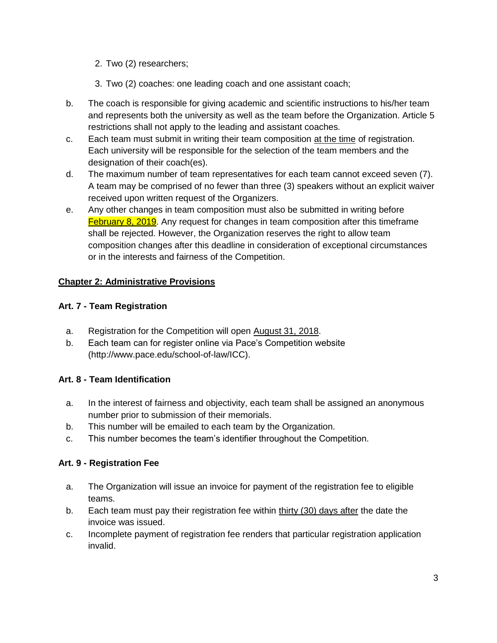- 2. Two (2) researchers;
- 3. Two (2) coaches: one leading coach and one assistant coach;
- b. The coach is responsible for giving academic and scientific instructions to his/her team and represents both the university as well as the team before the Organization. Article 5 restrictions shall not apply to the leading and assistant coaches.
- c. Each team must submit in writing their team composition at the time of registration. Each university will be responsible for the selection of the team members and the designation of their coach(es).
- d. The maximum number of team representatives for each team cannot exceed seven (7). A team may be comprised of no fewer than three (3) speakers without an explicit waiver received upon written request of the Organizers.
- e. Any other changes in team composition must also be submitted in writing before **February 8, 2019.** Any request for changes in team composition after this timeframe shall be rejected. However, the Organization reserves the right to allow team composition changes after this deadline in consideration of exceptional circumstances or in the interests and fairness of the Competition.

# **Chapter 2: Administrative Provisions**

# **Art. 7 - Team Registration**

- a. Registration for the Competition will open August 31, 2018.
- b. Each team can for register online via Pace's Competition website (http://www.pace.edu/school-of-law/ICC).

# **Art. 8 - Team Identification**

- a. In the interest of fairness and objectivity, each team shall be assigned an anonymous number prior to submission of their memorials.
- b. This number will be emailed to each team by the Organization.
- c. This number becomes the team's identifier throughout the Competition.

# **Art. 9 - Registration Fee**

- a. The Organization will issue an invoice for payment of the registration fee to eligible teams.
- b. Each team must pay their registration fee within thirty (30) days after the date the invoice was issued.
- c. Incomplete payment of registration fee renders that particular registration application invalid.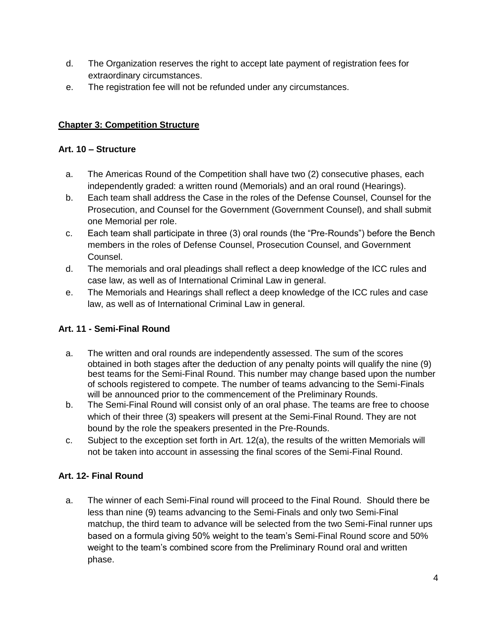- d. The Organization reserves the right to accept late payment of registration fees for extraordinary circumstances.
- e. The registration fee will not be refunded under any circumstances.

# **Chapter 3: Competition Structure**

# **Art. 10 – Structure**

- a. The Americas Round of the Competition shall have two (2) consecutive phases, each independently graded: a written round (Memorials) and an oral round (Hearings).
- b. Each team shall address the Case in the roles of the Defense Counsel, Counsel for the Prosecution, and Counsel for the Government (Government Counsel), and shall submit one Memorial per role.
- c. Each team shall participate in three (3) oral rounds (the "Pre-Rounds") before the Bench members in the roles of Defense Counsel, Prosecution Counsel, and Government Counsel.
- d. The memorials and oral pleadings shall reflect a deep knowledge of the ICC rules and case law, as well as of International Criminal Law in general.
- e. The Memorials and Hearings shall reflect a deep knowledge of the ICC rules and case law, as well as of International Criminal Law in general.

# **Art. 11 - Semi-Final Round**

- a. The written and oral rounds are independently assessed. The sum of the scores obtained in both stages after the deduction of any penalty points will qualify the nine (9) best teams for the Semi-Final Round. This number may change based upon the number of schools registered to compete. The number of teams advancing to the Semi-Finals will be announced prior to the commencement of the Preliminary Rounds.
- b. The Semi-Final Round will consist only of an oral phase. The teams are free to choose which of their three (3) speakers will present at the Semi-Final Round. They are not bound by the role the speakers presented in the Pre-Rounds.
- c. Subject to the exception set forth in Art. 12(a), the results of the written Memorials will not be taken into account in assessing the final scores of the Semi-Final Round.

# **Art. 12- Final Round**

a. The winner of each Semi-Final round will proceed to the Final Round. Should there be less than nine (9) teams advancing to the Semi-Finals and only two Semi-Final matchup, the third team to advance will be selected from the two Semi-Final runner ups based on a formula giving 50% weight to the team's Semi-Final Round score and 50% weight to the team's combined score from the Preliminary Round oral and written phase.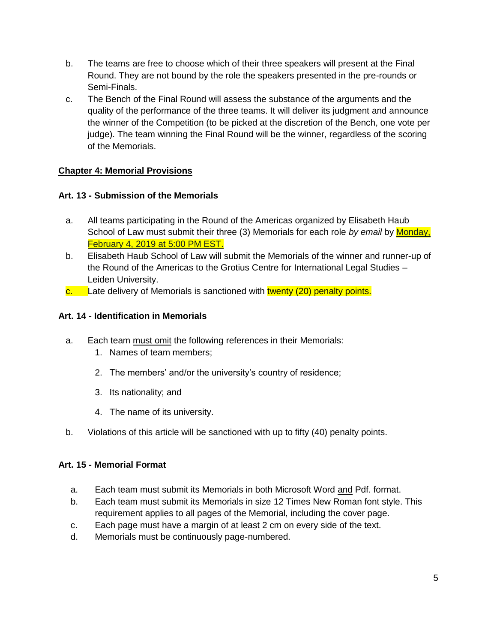- b. The teams are free to choose which of their three speakers will present at the Final Round. They are not bound by the role the speakers presented in the pre-rounds or Semi-Finals.
- c. The Bench of the Final Round will assess the substance of the arguments and the quality of the performance of the three teams. It will deliver its judgment and announce the winner of the Competition (to be picked at the discretion of the Bench, one vote per judge). The team winning the Final Round will be the winner, regardless of the scoring of the Memorials.

# **Chapter 4: Memorial Provisions**

# **Art. 13 - Submission of the Memorials**

- a. All teams participating in the Round of the Americas organized by Elisabeth Haub School of Law must submit their three (3) Memorials for each role *by email* by Monday, February 4, 2019 at 5:00 PM EST.
- b. Elisabeth Haub School of Law will submit the Memorials of the winner and runner-up of the Round of the Americas to the Grotius Centre for International Legal Studies – Leiden University.
- $\overline{\text{c}}$  Late delivery of Memorials is sanctioned with twenty (20) penalty points.

# **Art. 14 - Identification in Memorials**

- a. Each team must omit the following references in their Memorials:
	- 1. Names of team members;
	- 2. The members' and/or the university's country of residence;
	- 3. Its nationality; and
	- 4. The name of its university.
- b. Violations of this article will be sanctioned with up to fifty (40) penalty points.

# **Art. 15 - Memorial Format**

- a. Each team must submit its Memorials in both Microsoft Word and Pdf. format.
- b. Each team must submit its Memorials in size 12 Times New Roman font style. This requirement applies to all pages of the Memorial, including the cover page.
- c. Each page must have a margin of at least 2 cm on every side of the text.
- d. Memorials must be continuously page-numbered.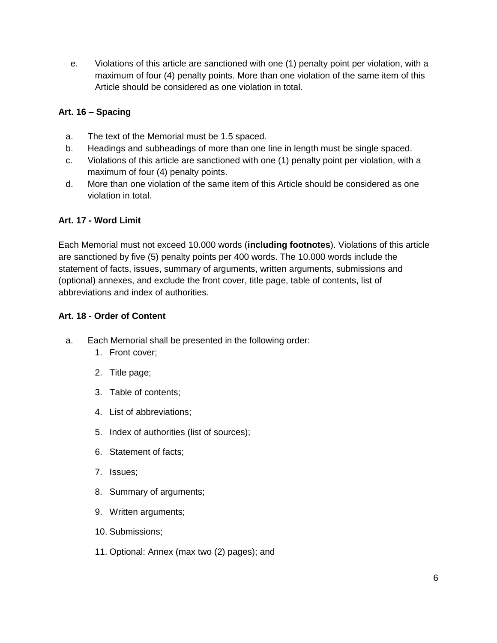e. Violations of this article are sanctioned with one (1) penalty point per violation, with a maximum of four (4) penalty points. More than one violation of the same item of this Article should be considered as one violation in total.

# **Art. 16 – Spacing**

- a. The text of the Memorial must be 1.5 spaced.
- b. Headings and subheadings of more than one line in length must be single spaced.
- c. Violations of this article are sanctioned with one (1) penalty point per violation, with a maximum of four (4) penalty points.
- d. More than one violation of the same item of this Article should be considered as one violation in total.

# **Art. 17 - Word Limit**

Each Memorial must not exceed 10.000 words (**including footnotes**). Violations of this article are sanctioned by five (5) penalty points per 400 words. The 10.000 words include the statement of facts, issues, summary of arguments, written arguments, submissions and (optional) annexes, and exclude the front cover, title page, table of contents, list of abbreviations and index of authorities.

# **Art. 18 - Order of Content**

- a. Each Memorial shall be presented in the following order:
	- 1. Front cover;
	- 2. Title page;
	- 3. Table of contents;
	- 4. List of abbreviations;
	- 5. Index of authorities (list of sources);
	- 6. Statement of facts;
	- 7. Issues;
	- 8. Summary of arguments;
	- 9. Written arguments;
	- 10. Submissions;
	- 11. Optional: Annex (max two (2) pages); and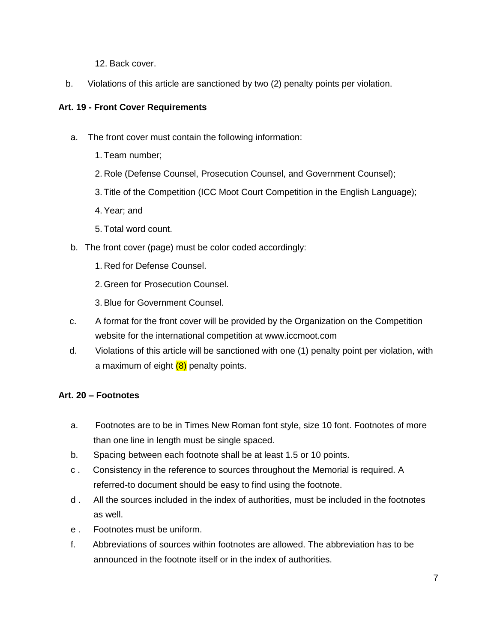- 12. Back cover.
- b. Violations of this article are sanctioned by two (2) penalty points per violation.

# **Art. 19 - Front Cover Requirements**

- a. The front cover must contain the following information:
	- 1. Team number;
	- 2. Role (Defense Counsel, Prosecution Counsel, and Government Counsel);
	- 3. Title of the Competition (ICC Moot Court Competition in the English Language);
	- 4. Year; and
	- 5. Total word count.
- b. The front cover (page) must be color coded accordingly:
	- 1. Red for Defense Counsel.
	- 2. Green for Prosecution Counsel.
	- 3. Blue for Government Counsel.
- c. A format for the front cover will be provided by the Organization on the Competition website for the international competition at www.iccmoot.com
- d. Violations of this article will be sanctioned with one (1) penalty point per violation, with a maximum of eight  $(8)$  penalty points.

# **Art. 20 – Footnotes**

- a. Footnotes are to be in Times New Roman font style, size 10 font. Footnotes of more than one line in length must be single spaced.
- b. Spacing between each footnote shall be at least 1.5 or 10 points.
- c . Consistency in the reference to sources throughout the Memorial is required. A referred-to document should be easy to find using the footnote.
- d . All the sources included in the index of authorities, must be included in the footnotes as well.
- e . Footnotes must be uniform.
- f. Abbreviations of sources within footnotes are allowed. The abbreviation has to be announced in the footnote itself or in the index of authorities.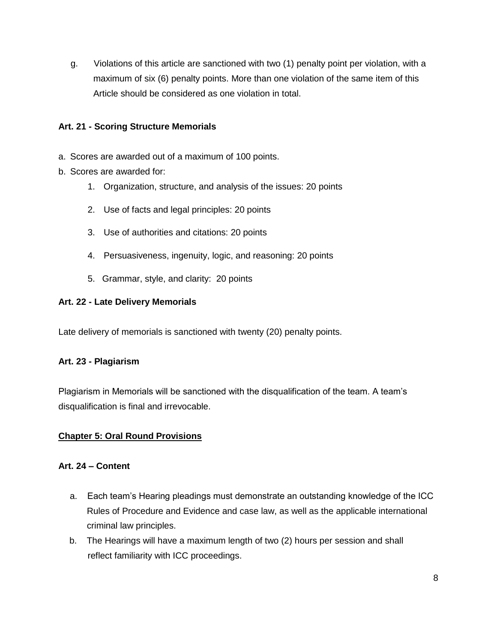g. Violations of this article are sanctioned with two (1) penalty point per violation, with a maximum of six (6) penalty points. More than one violation of the same item of this Article should be considered as one violation in total.

# **Art. 21 - Scoring Structure Memorials**

- a. Scores are awarded out of a maximum of 100 points.
- b. Scores are awarded for:
	- 1. Organization, structure, and analysis of the issues: 20 points
	- 2. Use of facts and legal principles: 20 points
	- 3. Use of authorities and citations: 20 points
	- 4. Persuasiveness, ingenuity, logic, and reasoning: 20 points
	- 5. Grammar, style, and clarity: 20 points

#### **Art. 22 - Late Delivery Memorials**

Late delivery of memorials is sanctioned with twenty (20) penalty points.

# **Art. 23 - Plagiarism**

Plagiarism in Memorials will be sanctioned with the disqualification of the team. A team's disqualification is final and irrevocable.

# **Chapter 5: Oral Round Provisions**

#### **Art. 24 – Content**

- a. Each team's Hearing pleadings must demonstrate an outstanding knowledge of the ICC Rules of Procedure and Evidence and case law, as well as the applicable international criminal law principles.
- b. The Hearings will have a maximum length of two (2) hours per session and shall reflect familiarity with ICC proceedings.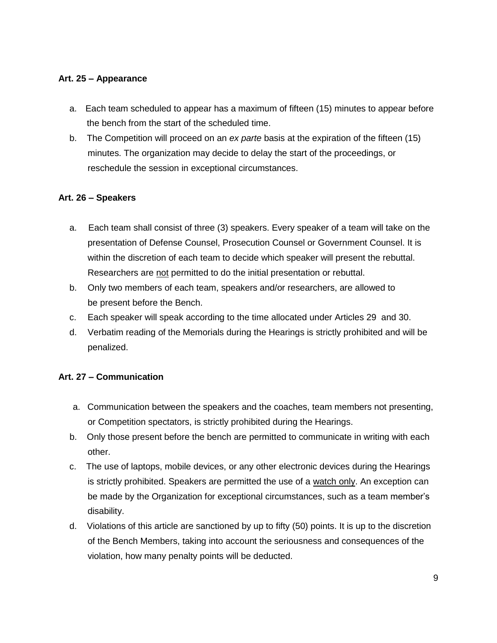# **Art. 25 – Appearance**

- a. Each team scheduled to appear has a maximum of fifteen (15) minutes to appear before the bench from the start of the scheduled time.
- b. The Competition will proceed on an *ex parte* basis at the expiration of the fifteen (15) minutes. The organization may decide to delay the start of the proceedings, or reschedule the session in exceptional circumstances.

#### **Art. 26 – Speakers**

- a. Each team shall consist of three (3) speakers. Every speaker of a team will take on the presentation of Defense Counsel, Prosecution Counsel or Government Counsel. It is within the discretion of each team to decide which speaker will present the rebuttal. Researchers are not permitted to do the initial presentation or rebuttal.
- b. Only two members of each team, speakers and/or researchers, are allowed to be present before the Bench.
- c. Each speaker will speak according to the time allocated under Articles 29 and 30.
- d. Verbatim reading of the Memorials during the Hearings is strictly prohibited and will be penalized.

# **Art. 27 – Communication**

- a. Communication between the speakers and the coaches, team members not presenting, or Competition spectators, is strictly prohibited during the Hearings.
- b. Only those present before the bench are permitted to communicate in writing with each other.
- c. The use of laptops, mobile devices, or any other electronic devices during the Hearings is strictly prohibited. Speakers are permitted the use of a watch only. An exception can be made by the Organization for exceptional circumstances, such as a team member's disability.
- d. Violations of this article are sanctioned by up to fifty (50) points. It is up to the discretion of the Bench Members, taking into account the seriousness and consequences of the violation, how many penalty points will be deducted.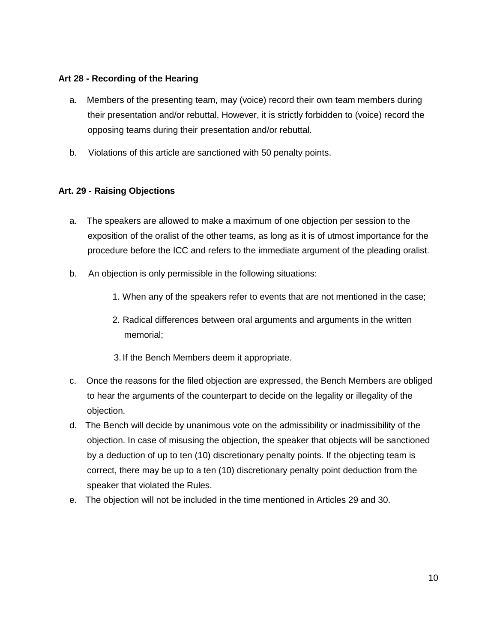### **Art 28 - Recording of the Hearing**

- a. Members of the presenting team, may (voice) record their own team members during their presentation and/or rebuttal. However, it is strictly forbidden to (voice) record the opposing teams during their presentation and/or rebuttal.
- b. Violations of this article are sanctioned with 50 penalty points.

# **Art. 29 - Raising Objections**

- a. The speakers are allowed to make a maximum of one objection per session to the exposition of the oralist of the other teams, as long as it is of utmost importance for the procedure before the ICC and refers to the immediate argument of the pleading oralist.
- b. An objection is only permissible in the following situations:
	- 1. When any of the speakers refer to events that are not mentioned in the case;
	- 2. Radical differences between oral arguments and arguments in the written memorial;
	- 3. If the Bench Members deem it appropriate.
- c. Once the reasons for the filed objection are expressed, the Bench Members are obliged to hear the arguments of the counterpart to decide on the legality or illegality of the objection.
- d. The Bench will decide by unanimous vote on the admissibility or inadmissibility of the objection. In case of misusing the objection, the speaker that objects will be sanctioned by a deduction of up to ten (10) discretionary penalty points. If the objecting team is correct, there may be up to a ten (10) discretionary penalty point deduction from the speaker that violated the Rules.
- e. The objection will not be included in the time mentioned in Articles 29 and 30.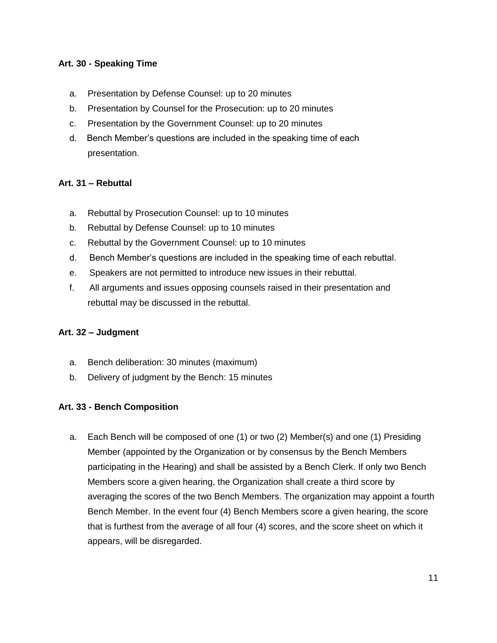# **Art. 30 - Speaking Time**

- a. Presentation by Defense Counsel: up to 20 minutes
- b. Presentation by Counsel for the Prosecution: up to 20 minutes
- c. Presentation by the Government Counsel: up to 20 minutes
- d. Bench Member's questions are included in the speaking time of each presentation.

#### **Art. 31 – Rebuttal**

- a. Rebuttal by Prosecution Counsel: up to 10 minutes
- b. Rebuttal by Defense Counsel: up to 10 minutes
- c. Rebuttal by the Government Counsel: up to 10 minutes
- d. Bench Member's questions are included in the speaking time of each rebuttal.
- e. Speakers are not permitted to introduce new issues in their rebuttal.
- f. All arguments and issues opposing counsels raised in their presentation and rebuttal may be discussed in the rebuttal.

#### **Art. 32 – Judgment**

- a. Bench deliberation: 30 minutes (maximum)
- b. Delivery of judgment by the Bench: 15 minutes

#### **Art. 33 - Bench Composition**

a. Each Bench will be composed of one (1) or two (2) Member(s) and one (1) Presiding Member (appointed by the Organization or by consensus by the Bench Members participating in the Hearing) and shall be assisted by a Bench Clerk. If only two Bench Members score a given hearing, the Organization shall create a third score by averaging the scores of the two Bench Members. The organization may appoint a fourth Bench Member. In the event four (4) Bench Members score a given hearing, the score that is furthest from the average of all four (4) scores, and the score sheet on which it appears, will be disregarded.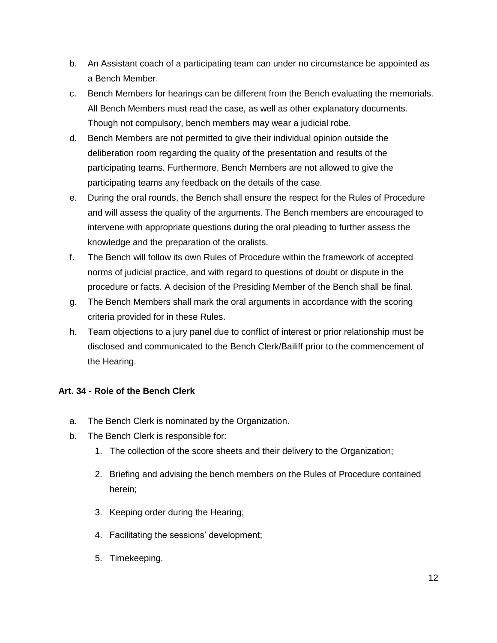- b. An Assistant coach of a participating team can under no circumstance be appointed as a Bench Member.
- c. Bench Members for hearings can be different from the Bench evaluating the memorials. All Bench Members must read the case, as well as other explanatory documents. Though not compulsory, bench members may wear a judicial robe.
- d. Bench Members are not permitted to give their individual opinion outside the deliberation room regarding the quality of the presentation and results of the participating teams. Furthermore, Bench Members are not allowed to give the participating teams any feedback on the details of the case.
- e. During the oral rounds, the Bench shall ensure the respect for the Rules of Procedure and will assess the quality of the arguments. The Bench members are encouraged to intervene with appropriate questions during the oral pleading to further assess the knowledge and the preparation of the oralists.
- f. The Bench will follow its own Rules of Procedure within the framework of accepted norms of judicial practice, and with regard to questions of doubt or dispute in the procedure or facts. A decision of the Presiding Member of the Bench shall be final.
- g. The Bench Members shall mark the oral arguments in accordance with the scoring criteria provided for in these Rules.
- h. Team objections to a jury panel due to conflict of interest or prior relationship must be disclosed and communicated to the Bench Clerk/Bailiff prior to the commencement of the Hearing.

# **Art. 34 - Role of the Bench Clerk**

- a. The Bench Clerk is nominated by the Organization.
- b. The Bench Clerk is responsible for:
	- 1. The collection of the score sheets and their delivery to the Organization;
	- 2. Briefing and advising the bench members on the Rules of Procedure contained herein;
	- 3. Keeping order during the Hearing;
	- 4. Facilitating the sessions' development;
	- 5. Timekeeping.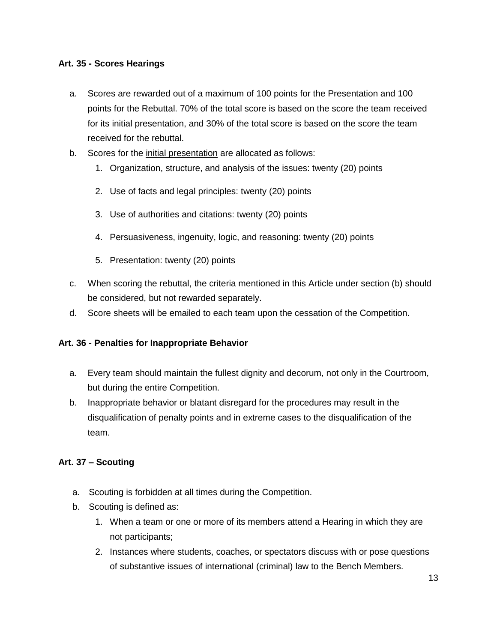# **Art. 35 - Scores Hearings**

- a. Scores are rewarded out of a maximum of 100 points for the Presentation and 100 points for the Rebuttal. 70% of the total score is based on the score the team received for its initial presentation, and 30% of the total score is based on the score the team received for the rebuttal.
- b. Scores for the initial presentation are allocated as follows:
	- 1. Organization, structure, and analysis of the issues: twenty (20) points
	- 2. Use of facts and legal principles: twenty (20) points
	- 3. Use of authorities and citations: twenty (20) points
	- 4. Persuasiveness, ingenuity, logic, and reasoning: twenty (20) points
	- 5. Presentation: twenty (20) points
- c. When scoring the rebuttal, the criteria mentioned in this Article under section (b) should be considered, but not rewarded separately.
- d. Score sheets will be emailed to each team upon the cessation of the Competition.

#### **Art. 36 - Penalties for Inappropriate Behavior**

- a. Every team should maintain the fullest dignity and decorum, not only in the Courtroom, but during the entire Competition.
- b. Inappropriate behavior or blatant disregard for the procedures may result in the disqualification of penalty points and in extreme cases to the disqualification of the team.

# **Art. 37 – Scouting**

- a. Scouting is forbidden at all times during the Competition.
- b. Scouting is defined as:
	- 1. When a team or one or more of its members attend a Hearing in which they are not participants;
	- 2. Instances where students, coaches, or spectators discuss with or pose questions of substantive issues of international (criminal) law to the Bench Members.